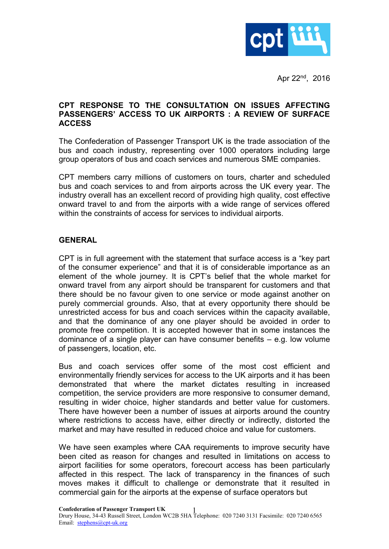

Apr 22nd , 2016

### **CPT RESPONSE TO THE CONSULTATION ON ISSUES AFFECTING PASSENGERS' ACCESS TO UK AIRPORTS : A REVIEW OF SURFACE ACCESS**

The Confederation of Passenger Transport UK is the trade association of the bus and coach industry, representing over 1000 operators including large group operators of bus and coach services and numerous SME companies.

CPT members carry millions of customers on tours, charter and scheduled bus and coach services to and from airports across the UK every year. The industry overall has an excellent record of providing high quality, cost effective onward travel to and from the airports with a wide range of services offered within the constraints of access for services to individual airports.

# **GENERAL**

CPT is in full agreement with the statement that surface access is a "key part of the consumer experience" and that it is of considerable importance as an element of the whole journey. It is CPT's belief that the whole market for onward travel from any airport should be transparent for customers and that there should be no favour given to one service or mode against another on purely commercial grounds. Also, that at every opportunity there should be unrestricted access for bus and coach services within the capacity available, and that the dominance of any one player should be avoided in order to promote free competition. It is accepted however that in some instances the dominance of a single player can have consumer benefits – e.g. low volume of passengers, location, etc.

Bus and coach services offer some of the most cost efficient and environmentally friendly services for access to the UK airports and it has been demonstrated that where the market dictates resulting in increased competition, the service providers are more responsive to consumer demand, resulting in wider choice, higher standards and better value for customers. There have however been a number of issues at airports around the country where restrictions to access have, either directly or indirectly, distorted the market and may have resulted in reduced choice and value for customers.

We have seen examples where CAA requirements to improve security have been cited as reason for changes and resulted in limitations on access to airport facilities for some operators, forecourt access has been particularly affected in this respect. The lack of transparency in the finances of such moves makes it difficult to challenge or demonstrate that it resulted in commercial gain for the airports at the expense of surface operators but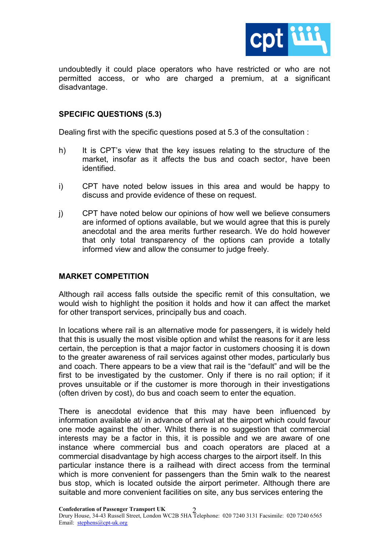

undoubtedly it could place operators who have restricted or who are not permitted access, or who are charged a premium, at a significant disadvantage.

### **SPECIFIC QUESTIONS (5.3)**

Dealing first with the specific questions posed at 5.3 of the consultation :

- h) It is CPT's view that the key issues relating to the structure of the market, insofar as it affects the bus and coach sector, have been identified.
- i) CPT have noted below issues in this area and would be happy to discuss and provide evidence of these on request.
- j) CPT have noted below our opinions of how well we believe consumers are informed of options available, but we would agree that this is purely anecdotal and the area merits further research. We do hold however that only total transparency of the options can provide a totally informed view and allow the consumer to judge freely.

### **MARKET COMPETITION**

Although rail access falls outside the specific remit of this consultation, we would wish to highlight the position it holds and how it can affect the market for other transport services, principally bus and coach.

In locations where rail is an alternative mode for passengers, it is widely held that this is usually the most visible option and whilst the reasons for it are less certain, the perception is that a major factor in customers choosing it is down to the greater awareness of rail services against other modes, particularly bus and coach. There appears to be a view that rail is the "default" and will be the first to be investigated by the customer. Only if there is no rail option; if it proves unsuitable or if the customer is more thorough in their investigations (often driven by cost), do bus and coach seem to enter the equation.

There is anecdotal evidence that this may have been influenced by information available at/ in advance of arrival at the airport which could favour one mode against the other. Whilst there is no suggestion that commercial interests may be a factor in this, it is possible and we are aware of one instance where commercial bus and coach operators are placed at a commercial disadvantage by high access charges to the airport itself. In this particular instance there is a railhead with direct access from the terminal which is more convenient for passengers than the 5min walk to the nearest bus stop, which is located outside the airport perimeter. Although there are suitable and more convenient facilities on site, any bus services entering the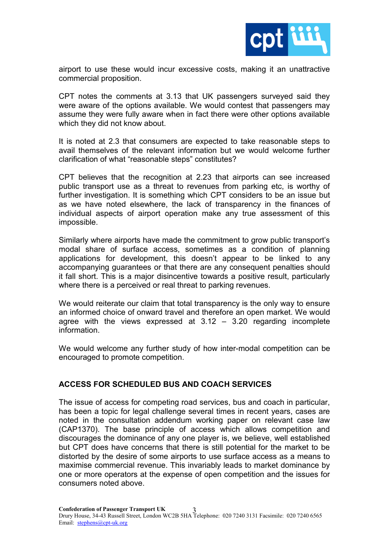

airport to use these would incur excessive costs, making it an unattractive commercial proposition.

CPT notes the comments at 3.13 that UK passengers surveyed said they were aware of the options available. We would contest that passengers may assume they were fully aware when in fact there were other options available which they did not know about.

It is noted at 2.3 that consumers are expected to take reasonable steps to avail themselves of the relevant information but we would welcome further clarification of what "reasonable steps" constitutes?

CPT believes that the recognition at 2.23 that airports can see increased public transport use as a threat to revenues from parking etc, is worthy of further investigation. It is something which CPT considers to be an issue but as we have noted elsewhere, the lack of transparency in the finances of individual aspects of airport operation make any true assessment of this impossible.

Similarly where airports have made the commitment to grow public transport's modal share of surface access, sometimes as a condition of planning applications for development, this doesn't appear to be linked to any accompanying guarantees or that there are any consequent penalties should it fall short. This is a major disincentive towards a positive result, particularly where there is a perceived or real threat to parking revenues.

We would reiterate our claim that total transparency is the only way to ensure an informed choice of onward travel and therefore an open market. We would agree with the views expressed at  $3.12 - 3.20$  regarding incomplete information.

We would welcome any further study of how inter-modal competition can be encouraged to promote competition.

# **ACCESS FOR SCHEDULED BUS AND COACH SERVICES**

The issue of access for competing road services, bus and coach in particular, has been a topic for legal challenge several times in recent years, cases are noted in the consultation addendum working paper on relevant case law (CAP1370). The base principle of access which allows competition and discourages the dominance of any one player is, we believe, well established but CPT does have concerns that there is still potential for the market to be distorted by the desire of some airports to use surface access as a means to maximise commercial revenue. This invariably leads to market dominance by one or more operators at the expense of open competition and the issues for consumers noted above.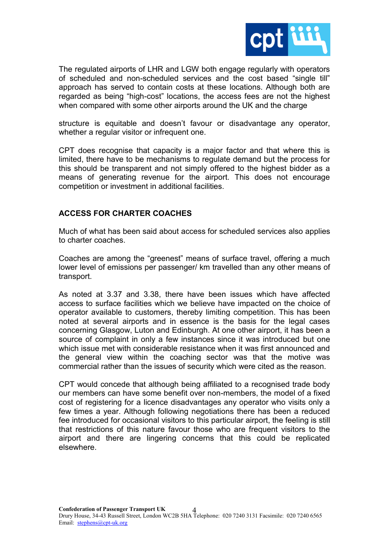

The regulated airports of LHR and LGW both engage regularly with operators of scheduled and non-scheduled services and the cost based "single till" approach has served to contain costs at these locations. Although both are regarded as being "high-cost" locations, the access fees are not the highest when compared with some other airports around the UK and the charge

structure is equitable and doesn't favour or disadvantage any operator, whether a regular visitor or infrequent one.

CPT does recognise that capacity is a major factor and that where this is limited, there have to be mechanisms to regulate demand but the process for this should be transparent and not simply offered to the highest bidder as a means of generating revenue for the airport. This does not encourage competition or investment in additional facilities.

# **ACCESS FOR CHARTER COACHES**

Much of what has been said about access for scheduled services also applies to charter coaches.

Coaches are among the "greenest" means of surface travel, offering a much lower level of emissions per passenger/ km travelled than any other means of transport.

As noted at 3.37 and 3.38, there have been issues which have affected access to surface facilities which we believe have impacted on the choice of operator available to customers, thereby limiting competition. This has been noted at several airports and in essence is the basis for the legal cases concerning Glasgow, Luton and Edinburgh. At one other airport, it has been a source of complaint in only a few instances since it was introduced but one which issue met with considerable resistance when it was first announced and the general view within the coaching sector was that the motive was commercial rather than the issues of security which were cited as the reason.

CPT would concede that although being affiliated to a recognised trade body our members can have some benefit over non-members, the model of a fixed cost of registering for a licence disadvantages any operator who visits only a few times a year. Although following negotiations there has been a reduced fee introduced for occasional visitors to this particular airport, the feeling is still that restrictions of this nature favour those who are frequent visitors to the airport and there are lingering concerns that this could be replicated elsewhere.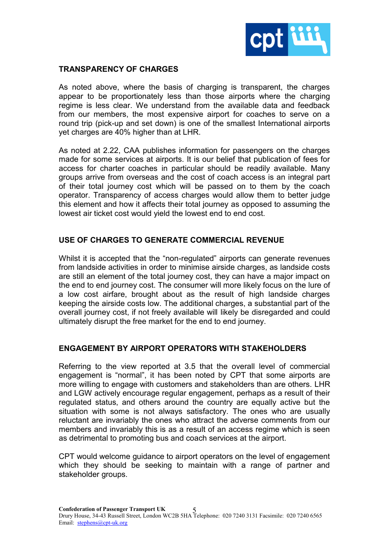

### **TRANSPARENCY OF CHARGES**

As noted above, where the basis of charging is transparent, the charges appear to be proportionately less than those airports where the charging regime is less clear. We understand from the available data and feedback from our members, the most expensive airport for coaches to serve on a round trip (pick-up and set down) is one of the smallest International airports yet charges are 40% higher than at LHR.

As noted at 2.22, CAA publishes information for passengers on the charges made for some services at airports. It is our belief that publication of fees for access for charter coaches in particular should be readily available. Many groups arrive from overseas and the cost of coach access is an integral part of their total journey cost which will be passed on to them by the coach operator. Transparency of access charges would allow them to better judge this element and how it affects their total journey as opposed to assuming the lowest air ticket cost would yield the lowest end to end cost.

# **USE OF CHARGES TO GENERATE COMMERCIAL REVENUE**

Whilst it is accepted that the "non-regulated" airports can generate revenues from landside activities in order to minimise airside charges, as landside costs are still an element of the total journey cost, they can have a major impact on the end to end journey cost. The consumer will more likely focus on the lure of a low cost airfare, brought about as the result of high landside charges keeping the airside costs low. The additional charges, a substantial part of the overall journey cost, if not freely available will likely be disregarded and could ultimately disrupt the free market for the end to end journey.

# **ENGAGEMENT BY AIRPORT OPERATORS WITH STAKEHOLDERS**

Referring to the view reported at 3.5 that the overall level of commercial engagement is "normal", it has been noted by CPT that some airports are more willing to engage with customers and stakeholders than are others. LHR and LGW actively encourage regular engagement, perhaps as a result of their regulated status, and others around the country are equally active but the situation with some is not always satisfactory. The ones who are usually reluctant are invariably the ones who attract the adverse comments from our members and invariably this is as a result of an access regime which is seen as detrimental to promoting bus and coach services at the airport.

CPT would welcome guidance to airport operators on the level of engagement which they should be seeking to maintain with a range of partner and stakeholder groups.